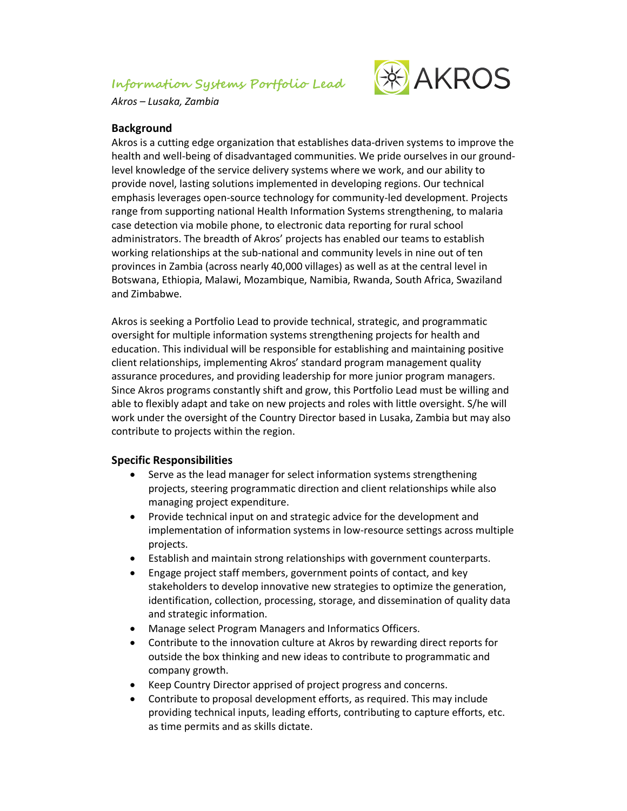# **Information Systems Portfolio Lead**



*Akros – Lusaka, Zambia*

#### **Background**

Akros is a cutting edge organization that establishes data-driven systems to improve the health and well-being of disadvantaged communities. We pride ourselves in our groundlevel knowledge of the service delivery systems where we work, and our ability to provide novel, lasting solutions implemented in developing regions. Our technical emphasis leverages open-source technology for community-led development. Projects range from supporting national Health Information Systems strengthening, to malaria case detection via mobile phone, to electronic data reporting for rural school administrators. The breadth of Akros' projects has enabled our teams to establish working relationships at the sub-national and community levels in nine out of ten provinces in Zambia (across nearly 40,000 villages) as well as at the central level in Botswana, Ethiopia, Malawi, Mozambique, Namibia, Rwanda, South Africa, Swaziland and Zimbabwe.

Akros is seeking a Portfolio Lead to provide technical, strategic, and programmatic oversight for multiple information systems strengthening projects for health and education. This individual will be responsible for establishing and maintaining positive client relationships, implementing Akros' standard program management quality assurance procedures, and providing leadership for more junior program managers. Since Akros programs constantly shift and grow, this Portfolio Lead must be willing and able to flexibly adapt and take on new projects and roles with little oversight. S/he will work under the oversight of the Country Director based in Lusaka, Zambia but may also contribute to projects within the region.

## **Specific Responsibilities**

- Serve as the lead manager for select information systems strengthening projects, steering programmatic direction and client relationships while also managing project expenditure.
- Provide technical input on and strategic advice for the development and implementation of information systems in low-resource settings across multiple projects.
- Establish and maintain strong relationships with government counterparts.
- Engage project staff members, government points of contact, and key stakeholders to develop innovative new strategies to optimize the generation, identification, collection, processing, storage, and dissemination of quality data and strategic information.
- Manage select Program Managers and Informatics Officers.
- Contribute to the innovation culture at Akros by rewarding direct reports for outside the box thinking and new ideas to contribute to programmatic and company growth.
- Keep Country Director apprised of project progress and concerns.
- Contribute to proposal development efforts, as required. This may include providing technical inputs, leading efforts, contributing to capture efforts, etc. as time permits and as skills dictate.